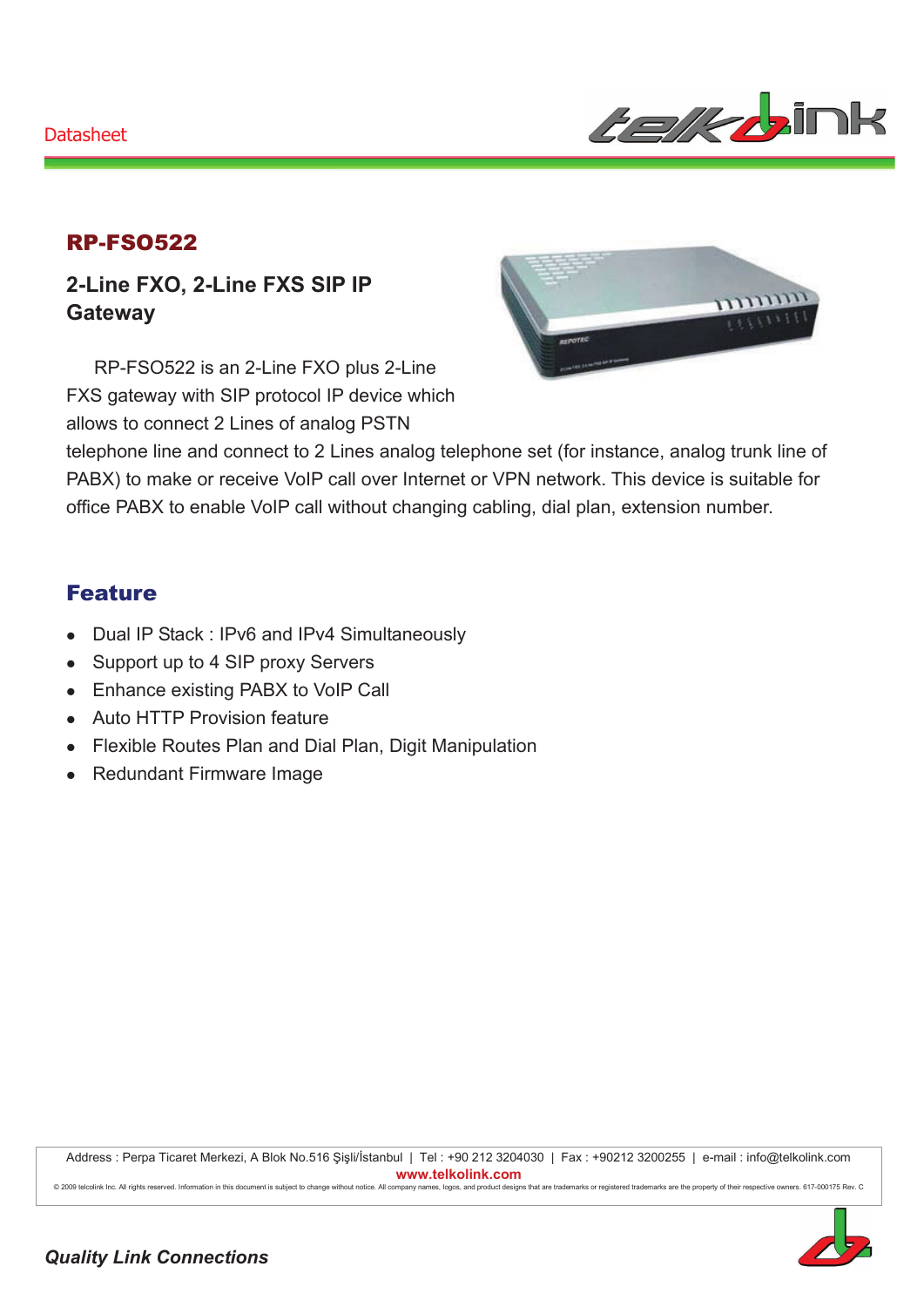

### RP-FSO522

**2-Line FXO, 2-Line FXS SIP IP Gateway** 

RP-FSO522 is an 2-Line FXO plus 2-Line FXS gateway with SIP protocol IP device which allows to connect 2 Lines of analog PSTN



telephone line and connect to 2 Lines analog telephone set (for instance, analog trunk line of PABX) to make or receive VoIP call over Internet or VPN network. This device is suitable for office PABX to enable VoIP call without changing cabling, dial plan, extension number.

#### Feature

- Dual IP Stack : IPv6 and IPv4 Simultaneously
- Support up to 4 SIP proxy Servers
- Enhance existing PABX to VoIP Call
- Auto HTTP Provision feature
- Flexible Routes Plan and Dial Plan, Digit Manipulation
- Redundant Firmware Image

Address : Perpa Ticaret Merkezi, A Blok No.516 Şişli/İstanbul | Tel : +90 212 3204030 | Fax : +90212 3200255 | e-mail : info@telkolink.com  $www.telkolink.com$ 

@ 2009 telcolink Inc. All rights reserved. Information in this document is subject to change without notice. All company names, logos, and product designs that are trademarks or registered trademarks are the property of th

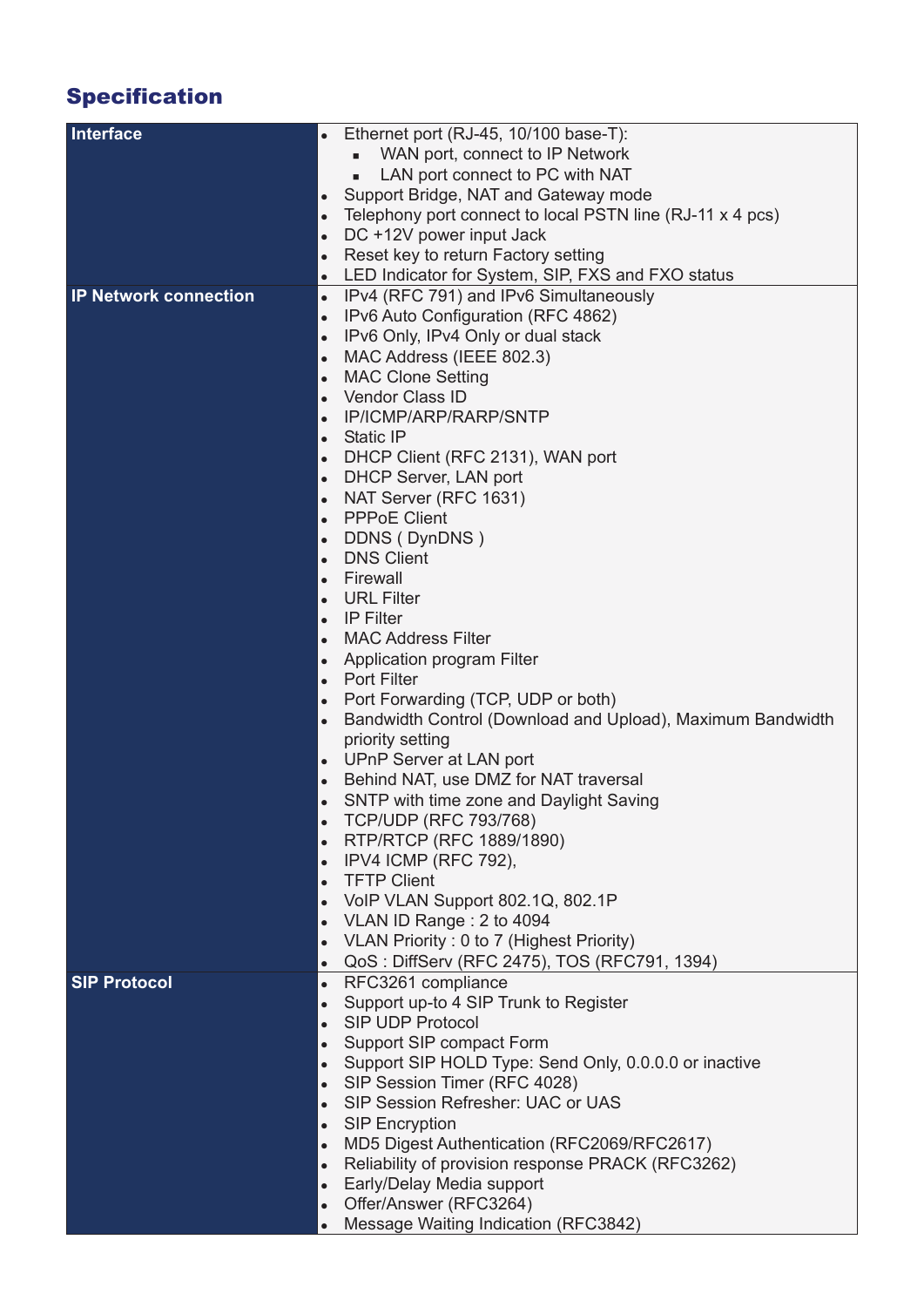# Specification

| Interface                    | Ethernet port (RJ-45, 10/100 base-T):                                   |
|------------------------------|-------------------------------------------------------------------------|
|                              | WAN port, connect to IP Network                                         |
|                              | LAN port connect to PC with NAT                                         |
|                              |                                                                         |
|                              | Support Bridge, NAT and Gateway mode<br>$\bullet$                       |
|                              | Telephony port connect to local PSTN line (RJ-11 x 4 pcs)<br>$\bullet$  |
|                              | DC +12V power input Jack                                                |
|                              | Reset key to return Factory setting<br>$\bullet$                        |
|                              | LED Indicator for System, SIP, FXS and FXO status                       |
| <b>IP Network connection</b> | IPv4 (RFC 791) and IPv6 Simultaneously<br>$\bullet$                     |
|                              | IPv6 Auto Configuration (RFC 4862)<br>$\bullet$                         |
|                              | IPv6 Only, IPv4 Only or dual stack<br>$\bullet$                         |
|                              | MAC Address (IEEE 802.3)<br>$\bullet$                                   |
|                              | <b>MAC Clone Setting</b><br>$\bullet$                                   |
|                              | Vendor Class ID<br>$\bullet$                                            |
|                              | IP/ICMP/ARP/RARP/SNTP                                                   |
|                              | $\bullet$                                                               |
|                              | <b>Static IP</b><br>$\bullet$                                           |
|                              | DHCP Client (RFC 2131), WAN port<br>$\bullet$                           |
|                              | DHCP Server, LAN port<br>$\bullet$                                      |
|                              | NAT Server (RFC 1631)                                                   |
|                              | <b>PPPoE Client</b><br>$\bullet$                                        |
|                              | DDNS (DynDNS)<br>$\bullet$                                              |
|                              | <b>DNS Client</b><br>$\bullet$                                          |
|                              | Firewall<br>$\bullet$                                                   |
|                              | <b>URL Filter</b>                                                       |
|                              | <b>IP Filter</b><br>$\bullet$                                           |
|                              | <b>MAC Address Filter</b><br>$\epsilon$                                 |
|                              |                                                                         |
|                              | <b>Application program Filter</b><br>$\bullet$                          |
|                              | <b>Port Filter</b><br>$\bullet$                                         |
|                              | Port Forwarding (TCP, UDP or both)<br>$\bullet$                         |
|                              | Bandwidth Control (Download and Upload), Maximum Bandwidth<br>$\bullet$ |
|                              | priority setting                                                        |
|                              | UPnP Server at LAN port<br>$\bullet$                                    |
|                              | Behind NAT, use DMZ for NAT traversal<br>$\bullet$                      |
|                              | SNTP with time zone and Daylight Saving                                 |
|                              | <b>TCP/UDP (RFC 793/768)</b><br>$\bullet$                               |
|                              | RTP/RTCP (RFC 1889/1890)<br>$\bullet$                                   |
|                              | IPV4 ICMP (RFC 792),<br>$\bullet$                                       |
|                              | <b>TFTP Client</b>                                                      |
|                              | $\bullet$                                                               |
|                              | VoIP VLAN Support 802.1Q, 802.1P<br>$\bullet$                           |
|                              | VLAN ID Range: 2 to 4094<br>$\bullet$                                   |
|                              | VLAN Priority: 0 to 7 (Highest Priority)<br>$\bullet$                   |
|                              | QoS: DiffServ (RFC 2475), TOS (RFC791, 1394)<br>$\bullet$               |
| <b>SIP Protocol</b>          | RFC3261 compliance<br>$\bullet$                                         |
|                              | Support up-to 4 SIP Trunk to Register<br>$\bullet$                      |
|                              | SIP UDP Protocol<br>$\bullet$                                           |
|                              | Support SIP compact Form<br>$\bullet$                                   |
|                              | Support SIP HOLD Type: Send Only, 0.0.0.0 or inactive<br>$\bullet$      |
|                              | SIP Session Timer (RFC 4028)                                            |
|                              | SIP Session Refresher: UAC or UAS                                       |
|                              |                                                                         |
|                              | <b>SIP Encryption</b><br>$\bullet$                                      |
|                              | MD5 Digest Authentication (RFC2069/RFC2617)<br>$\bullet$                |
|                              | Reliability of provision response PRACK (RFC3262)<br>$\bullet$          |
|                              | Early/Delay Media support<br>$\bullet$                                  |
|                              | Offer/Answer (RFC3264)<br>$\bullet$                                     |
|                              | Message Waiting Indication (RFC3842)                                    |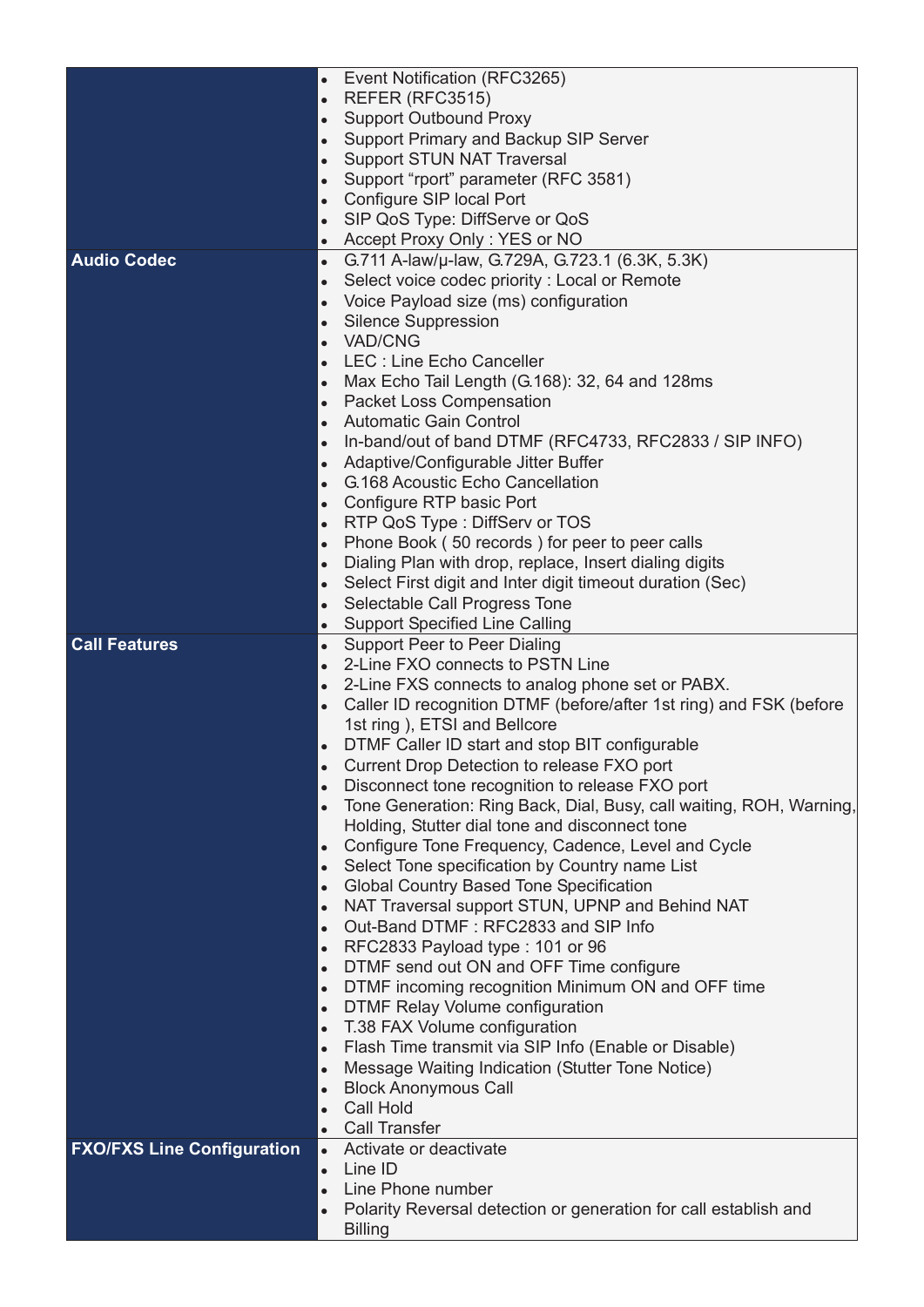|                                   | Event Notification (RFC3265)<br>$\bullet$                                        |
|-----------------------------------|----------------------------------------------------------------------------------|
|                                   | REFER (RFC3515)<br>$\bullet$                                                     |
|                                   | <b>Support Outbound Proxy</b>                                                    |
|                                   | Support Primary and Backup SIP Server<br>$\bullet$                               |
|                                   | <b>Support STUN NAT Traversal</b><br>$\bullet$                                   |
|                                   | Support "rport" parameter (RFC 3581)<br>$\bullet$                                |
|                                   | Configure SIP local Port<br>$\bullet$                                            |
|                                   | SIP QoS Type: DiffServe or QoS<br>$\bullet$                                      |
|                                   | Accept Proxy Only: YES or NO                                                     |
| <b>Audio Codec</b>                | G.711 A-law/u-law, G.729A, G.723.1 (6.3K, 5.3K)<br>$\bullet$                     |
|                                   | Select voice codec priority: Local or Remote<br>$\bullet$                        |
|                                   | Voice Payload size (ms) configuration<br>$\bullet$                               |
|                                   | <b>Silence Suppression</b><br>$\bullet$                                          |
|                                   | <b>VAD/CNG</b><br>$\bullet$                                                      |
|                                   | LEC : Line Echo Canceller<br>$\bullet$                                           |
|                                   | Max Echo Tail Length (G.168): 32, 64 and 128ms<br>$\bullet$                      |
|                                   | <b>Packet Loss Compensation</b><br>$\bullet$                                     |
|                                   | <b>Automatic Gain Control</b><br>$\bullet$                                       |
|                                   | In-band/out of band DTMF (RFC4733, RFC2833 / SIP INFO)<br>$\bullet$              |
|                                   | Adaptive/Configurable Jitter Buffer<br>$\bullet$                                 |
|                                   | <b>G.168 Acoustic Echo Cancellation</b><br>$\bullet$                             |
|                                   | Configure RTP basic Port<br>$\bullet$                                            |
|                                   | RTP QoS Type: DiffServ or TOS<br>$\bullet$                                       |
|                                   | Phone Book (50 records) for peer to peer calls<br>$\bullet$                      |
|                                   | Dialing Plan with drop, replace, Insert dialing digits<br>$\bullet$              |
|                                   | Select First digit and Inter digit timeout duration (Sec)<br>$\bullet$           |
|                                   | Selectable Call Progress Tone<br>$\bullet$                                       |
|                                   | <b>Support Specified Line Calling</b><br>$\bullet$                               |
| <b>Call Features</b>              | $\bullet$<br>Support Peer to Peer Dialing                                        |
|                                   | 2-Line FXO connects to PSTN Line<br>$\bullet$                                    |
|                                   | 2-Line FXS connects to analog phone set or PABX.<br>$\bullet$                    |
|                                   | Caller ID recognition DTMF (before/after 1st ring) and FSK (before<br>$\bullet$  |
|                                   | 1st ring), ETSI and Bellcore                                                     |
|                                   | DTMF Caller ID start and stop BIT configurable                                   |
|                                   | Current Drop Detection to release FXO port                                       |
|                                   | Disconnect tone recognition to release FXO port<br>$\bullet$                     |
|                                   | Tone Generation: Ring Back, Dial, Busy, call waiting, ROH, Warning,<br>$\bullet$ |
|                                   | Holding, Stutter dial tone and disconnect tone                                   |
|                                   | Configure Tone Frequency, Cadence, Level and Cycle<br>$\bullet$                  |
|                                   | Select Tone specification by Country name List<br>$\bullet$                      |
|                                   | <b>Global Country Based Tone Specification</b><br>$\bullet$                      |
|                                   | NAT Traversal support STUN, UPNP and Behind NAT<br>$\bullet$                     |
|                                   | Out-Band DTMF: RFC2833 and SIP Info<br>$\bullet$                                 |
|                                   | RFC2833 Payload type: 101 or 96<br>$\bullet$                                     |
|                                   | DTMF send out ON and OFF Time configure<br>$\bullet$                             |
|                                   | DTMF incoming recognition Minimum ON and OFF time<br>$\bullet$                   |
|                                   | DTMF Relay Volume configuration<br>$\bullet$                                     |
|                                   | T.38 FAX Volume configuration<br>$\bullet$                                       |
|                                   | Flash Time transmit via SIP Info (Enable or Disable)<br>$\bullet$                |
|                                   | Message Waiting Indication (Stutter Tone Notice)<br>$\bullet$                    |
|                                   | <b>Block Anonymous Call</b><br>$\bullet$                                         |
|                                   | <b>Call Hold</b><br>$\bullet$                                                    |
|                                   | <b>Call Transfer</b><br>$\bullet$                                                |
| <b>FXO/FXS Line Configuration</b> | Activate or deactivate<br>$\bullet$                                              |
|                                   | Line ID<br>$\bullet$                                                             |
|                                   | Line Phone number                                                                |
|                                   | Polarity Reversal detection or generation for call establish and<br>$\bullet$    |
|                                   | <b>Billing</b>                                                                   |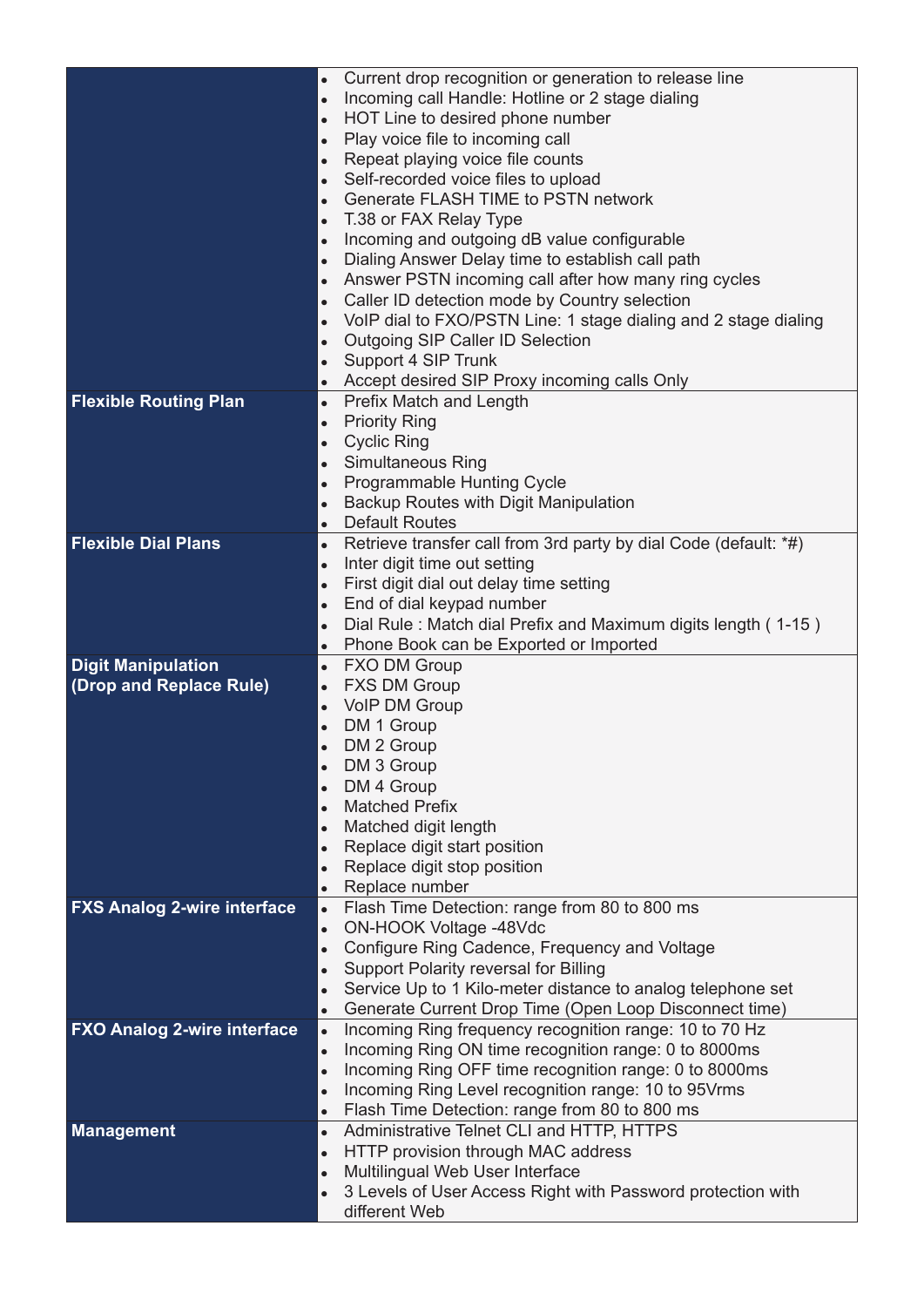|                                    | Current drop recognition or generation to release line<br>$\bullet$                                               |
|------------------------------------|-------------------------------------------------------------------------------------------------------------------|
|                                    | Incoming call Handle: Hotline or 2 stage dialing<br>$\bullet$                                                     |
|                                    | HOT Line to desired phone number<br>$\bullet$                                                                     |
|                                    | Play voice file to incoming call<br>$\bullet$                                                                     |
|                                    | Repeat playing voice file counts<br>$\bullet$                                                                     |
|                                    | Self-recorded voice files to upload<br>$\bullet$                                                                  |
|                                    | <b>Generate FLASH TIME to PSTN network</b><br>$\bullet$                                                           |
|                                    | T.38 or FAX Relay Type<br>$\bullet$                                                                               |
|                                    | Incoming and outgoing dB value configurable<br>$\bullet$                                                          |
|                                    | Dialing Answer Delay time to establish call path<br>$\bullet$                                                     |
|                                    | Answer PSTN incoming call after how many ring cycles<br>$\bullet$                                                 |
|                                    | Caller ID detection mode by Country selection<br>$\bullet$                                                        |
|                                    | VoIP dial to FXO/PSTN Line: 1 stage dialing and 2 stage dialing<br>$\bullet$                                      |
|                                    | Outgoing SIP Caller ID Selection<br>$\bullet$                                                                     |
|                                    | Support 4 SIP Trunk<br>$\bullet$                                                                                  |
|                                    | Accept desired SIP Proxy incoming calls Only<br>$\bullet$                                                         |
| <b>Flexible Routing Plan</b>       | Prefix Match and Length<br>$\bullet$                                                                              |
|                                    | <b>Priority Ring</b><br>$\bullet$<br><b>Cyclic Ring</b>                                                           |
|                                    | $\bullet$<br><b>Simultaneous Ring</b>                                                                             |
|                                    | $\bullet$<br><b>Programmable Hunting Cycle</b>                                                                    |
|                                    | $\bullet$<br>Backup Routes with Digit Manipulation                                                                |
|                                    | <b>Default Routes</b><br>$\bullet$                                                                                |
| <b>Flexible Dial Plans</b>         | Retrieve transfer call from 3rd party by dial Code (default: *#)<br>$\bullet$                                     |
|                                    | Inter digit time out setting<br>$\bullet$                                                                         |
|                                    | First digit dial out delay time setting<br>$\bullet$                                                              |
|                                    | End of dial keypad number<br>$\bullet$                                                                            |
|                                    | Dial Rule: Match dial Prefix and Maximum digits length (1-15)<br>$\bullet$                                        |
|                                    | Phone Book can be Exported or Imported<br>$\bullet$                                                               |
| <b>Digit Manipulation</b>          | <b>FXO DM Group</b><br>$\bullet$                                                                                  |
| (Drop and Replace Rule)            | <b>FXS DM Group</b><br>$\bullet$                                                                                  |
|                                    | <b>VoIP DM Group</b><br>$\bullet$                                                                                 |
|                                    | DM 1 Group                                                                                                        |
|                                    | DM 2 Group                                                                                                        |
|                                    | DM 3 Group                                                                                                        |
|                                    | DM 4 Group                                                                                                        |
|                                    | <b>Matched Prefix</b><br>$\bullet$                                                                                |
|                                    | Matched digit length<br>$\bullet$                                                                                 |
|                                    |                                                                                                                   |
|                                    | Replace digit start position                                                                                      |
|                                    | Replace digit stop position                                                                                       |
|                                    | Replace number<br>$\bullet$                                                                                       |
| <b>FXS Analog 2-wire interface</b> | Flash Time Detection: range from 80 to 800 ms<br>$\bullet$                                                        |
|                                    | ON-HOOK Voltage -48Vdc<br>$\bullet$<br>$\bullet$                                                                  |
|                                    | Configure Ring Cadence, Frequency and Voltage                                                                     |
|                                    | Support Polarity reversal for Billing<br>Service Up to 1 Kilo-meter distance to analog telephone set<br>$\bullet$ |
|                                    | Generate Current Drop Time (Open Loop Disconnect time)<br>$\bullet$                                               |
| <b>FXO Analog 2-wire interface</b> | Incoming Ring frequency recognition range: 10 to 70 Hz<br>$\bullet$                                               |
|                                    | Incoming Ring ON time recognition range: 0 to 8000ms<br>$\bullet$                                                 |
|                                    | Incoming Ring OFF time recognition range: 0 to 8000ms<br>$\bullet$                                                |
|                                    | Incoming Ring Level recognition range: 10 to 95 Vrms<br>$\bullet$                                                 |
|                                    | Flash Time Detection: range from 80 to 800 ms<br>$\bullet$                                                        |
| <b>Management</b>                  | Administrative Telnet CLI and HTTP, HTTPS<br>$\bullet$                                                            |
|                                    | HTTP provision through MAC address<br>$\bullet$                                                                   |
|                                    | Multilingual Web User Interface<br>$\bullet$                                                                      |
|                                    | 3 Levels of User Access Right with Password protection with<br>$\bullet$<br>different Web                         |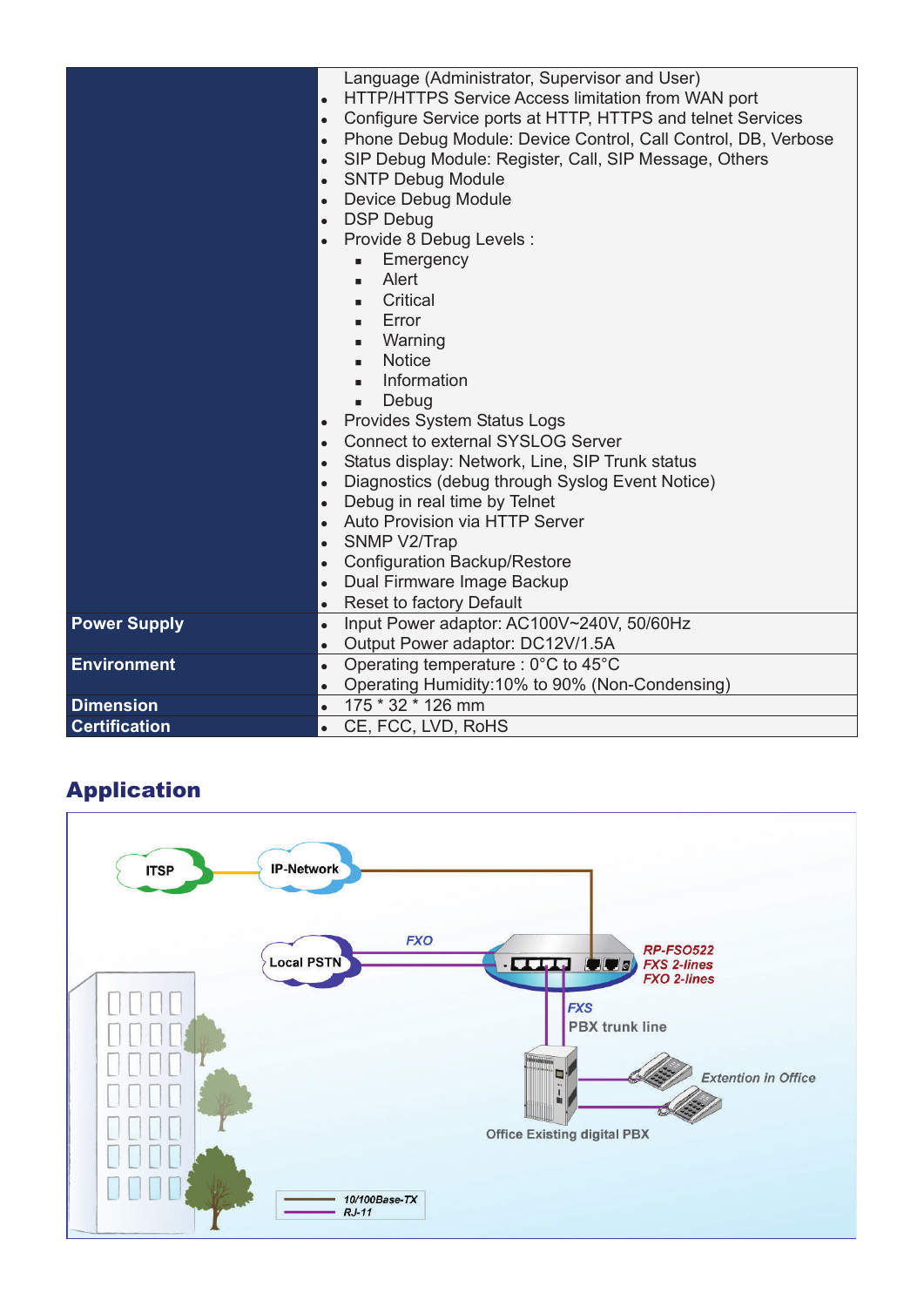|                      | Language (Administrator, Supervisor and User)                              |
|----------------------|----------------------------------------------------------------------------|
|                      | HTTP/HTTPS Service Access limitation from WAN port<br>$\bullet$            |
|                      | Configure Service ports at HTTP, HTTPS and telnet Services<br>$\bullet$    |
|                      | Phone Debug Module: Device Control, Call Control, DB, Verbose<br>$\bullet$ |
|                      | SIP Debug Module: Register, Call, SIP Message, Others<br>$\bullet$         |
|                      | <b>SNTP Debug Module</b><br>$\bullet$                                      |
|                      | Device Debug Module<br>$\bullet$                                           |
|                      | <b>DSP Debug</b><br>$\bullet$                                              |
|                      | Provide 8 Debug Levels :<br>$\bullet$                                      |
|                      | Emergency<br>٠                                                             |
|                      | Alert<br>٠                                                                 |
|                      | Critical<br>٠                                                              |
|                      | Error<br>٠                                                                 |
|                      | Warning<br>٠                                                               |
|                      | <b>Notice</b><br>٠                                                         |
|                      | Information<br>٠                                                           |
|                      | Debug<br>٠                                                                 |
|                      | Provides System Status Logs<br>$\bullet$                                   |
|                      | <b>Connect to external SYSLOG Server</b><br>$\bullet$                      |
|                      | Status display: Network, Line, SIP Trunk status<br>$\bullet$               |
|                      | Diagnostics (debug through Syslog Event Notice)<br>$\bullet$               |
|                      | Debug in real time by Telnet<br>$\bullet$                                  |
|                      | Auto Provision via HTTP Server<br>$\bullet$                                |
|                      | SNMP V2/Trap<br>$\bullet$                                                  |
|                      | <b>Configuration Backup/Restore</b><br>$\bullet$                           |
|                      | Dual Firmware Image Backup<br>$\bullet$                                    |
|                      | Reset to factory Default<br>$\bullet$                                      |
| <b>Power Supply</b>  | Input Power adaptor: AC100V~240V, 50/60Hz<br>$\bullet$                     |
|                      | Output Power adaptor: DC12V/1.5A<br>$\bullet$                              |
| <b>Environment</b>   | Operating temperature : $0^{\circ}$ C to 45 $^{\circ}$ C<br>$\bullet$      |
|                      | Operating Humidity:10% to 90% (Non-Condensing)<br>$\bullet$                |
| <b>Dimension</b>     | 175 * 32 * 126 mm<br>$\bullet$                                             |
| <b>Certification</b> | CE, FCC, LVD, RoHS<br>$\bullet$                                            |

## Application